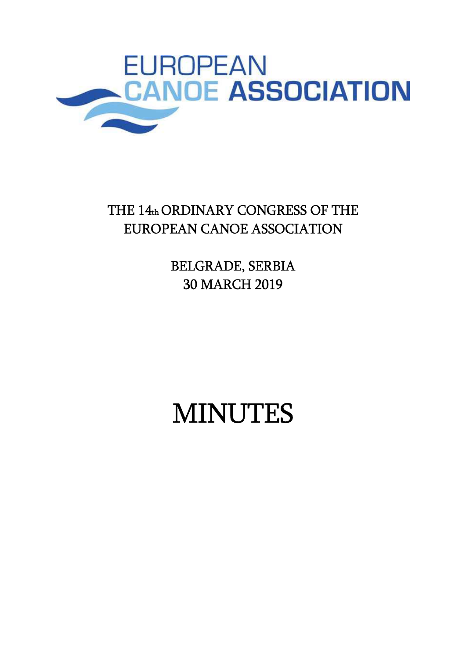

## THE 14th ORDINARY CONGRESS OF THE EUROPEAN CANOE ASSOCIATION

BELGRADE, SERBIA 30 MARCH 2019

# MINUTES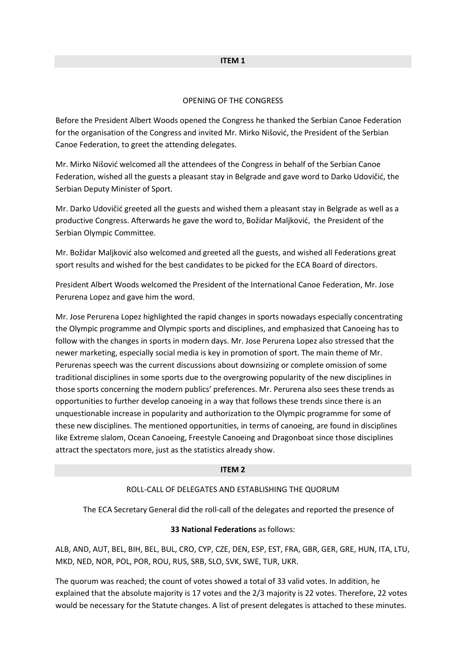## ITEM 1

## OPENING OF THE CONGRESS

Before the President Albert Woods opened the Congress he thanked the Serbian Canoe Federation for the organisation of the Congress and invited Mr. Mirko Nišović, the President of the Serbian Canoe Federation, to greet the attending delegates.

Mr. Mirko Nišović welcomed all the attendees of the Congress in behalf of the Serbian Canoe Federation, wished all the guests a pleasant stay in Belgrade and gave word to Darko Udovičić, the Serbian Deputy Minister of Sport.

Mr. Darko Udovičić greeted all the guests and wished them a pleasant stay in Belgrade as well as a productive Congress. Afterwards he gave the word to, Božidar Maljković, the President of the Serbian Olympic Committee.

Mr. Božidar Maljković also welcomed and greeted all the guests, and wished all Federations great sport results and wished for the best candidates to be picked for the ECA Board of directors.

President Albert Woods welcomed the President of the International Canoe Federation, Mr. Jose Perurena Lopez and gave him the word.

Mr. Jose Perurena Lopez highlighted the rapid changes in sports nowadays especially concentrating the Olympic programme and Olympic sports and disciplines, and emphasized that Canoeing has to follow with the changes in sports in modern days. Mr. Jose Perurena Lopez also stressed that the newer marketing, especially social media is key in promotion of sport. The main theme of Mr. Perurenas speech was the current discussions about downsizing or complete omission of some traditional disciplines in some sports due to the overgrowing popularity of the new disciplines in those sports concerning the modern publics' preferences. Mr. Perurena also sees these trends as opportunities to further develop canoeing in a way that follows these trends since there is an unquestionable increase in popularity and authorization to the Olympic programme for some of these new disciplines. The mentioned opportunities, in terms of canoeing, are found in disciplines like Extreme slalom, Ocean Canoeing, Freestyle Canoeing and Dragonboat since those disciplines attract the spectators more, just as the statistics already show.

## ITEM 2

#### ROLL-CALL OF DELEGATES AND ESTABLISHING THE QUORUM

The ECA Secretary General did the roll-call of the delegates and reported the presence of

## 33 National Federations as follows:

ALB, AND, AUT, BEL, BIH, BEL, BUL, CRO, CYP, CZE, DEN, ESP, EST, FRA, GBR, GER, GRE, HUN, ITA, LTU, MKD, NED, NOR, POL, POR, ROU, RUS, SRB, SLO, SVK, SWE, TUR, UKR.

The quorum was reached; the count of votes showed a total of 33 valid votes. In addition, he explained that the absolute majority is 17 votes and the 2/3 majority is 22 votes. Therefore, 22 votes would be necessary for the Statute changes. A list of present delegates is attached to these minutes.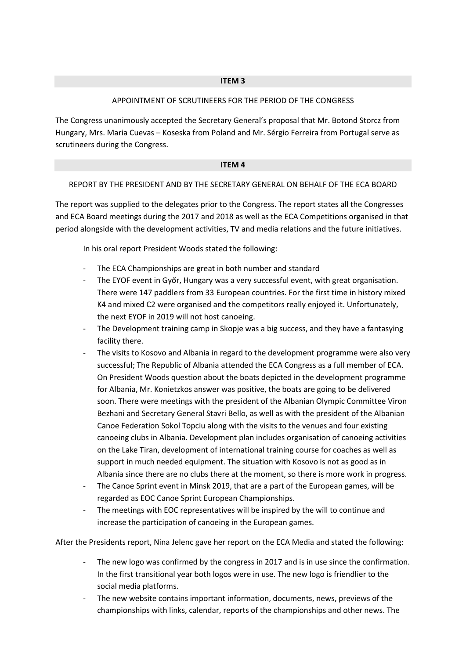## APPOINTMENT OF SCRUTINEERS FOR THE PERIOD OF THE CONGRESS

The Congress unanimously accepted the Secretary General's proposal that Mr. Botond Storcz from Hungary, Mrs. Maria Cuevas – Koseska from Poland and Mr. Sérgio Ferreira from Portugal serve as scrutineers during the Congress.

## ITEM 4

## REPORT BY THE PRESIDENT AND BY THE SECRETARY GENERAL ON BEHALF OF THE ECA BOARD

The report was supplied to the delegates prior to the Congress. The report states all the Congresses and ECA Board meetings during the 2017 and 2018 as well as the ECA Competitions organised in that period alongside with the development activities, TV and media relations and the future initiatives.

In his oral report President Woods stated the following:

- The ECA Championships are great in both number and standard
- The EYOF event in Győr, Hungary was a very successful event, with great organisation. There were 147 paddlers from 33 European countries. For the first time in history mixed K4 and mixed C2 were organised and the competitors really enjoyed it. Unfortunately, the next EYOF in 2019 will not host canoeing.
- The Development training camp in Skopje was a big success, and they have a fantasying facility there.
- The visits to Kosovo and Albania in regard to the development programme were also very successful; The Republic of Albania attended the ECA Congress as a full member of ECA. On President Woods question about the boats depicted in the development programme for Albania, Mr. Konietzkos answer was positive, the boats are going to be delivered soon. There were meetings with the president of the Albanian Olympic Committee Viron Bezhani and Secretary General Stavri Bello, as well as with the president of the Albanian Canoe Federation Sokol Topciu along with the visits to the venues and four existing canoeing clubs in Albania. Development plan includes organisation of canoeing activities on the Lake Tiran, development of international training course for coaches as well as support in much needed equipment. The situation with Kosovo is not as good as in Albania since there are no clubs there at the moment, so there is more work in progress.
- The Canoe Sprint event in Minsk 2019, that are a part of the European games, will be regarded as EOC Canoe Sprint European Championships.
- The meetings with EOC representatives will be inspired by the will to continue and increase the participation of canoeing in the European games.

After the Presidents report, Nina Jelenc gave her report on the ECA Media and stated the following:

- The new logo was confirmed by the congress in 2017 and is in use since the confirmation. In the first transitional year both logos were in use. The new logo is friendlier to the social media platforms.
- The new website contains important information, documents, news, previews of the championships with links, calendar, reports of the championships and other news. The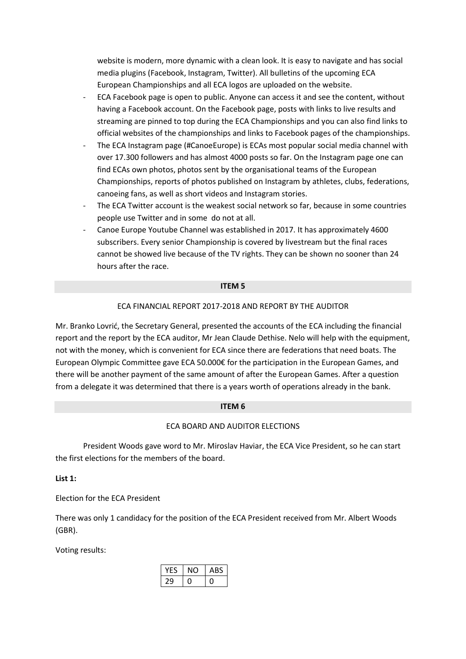website is modern, more dynamic with a clean look. It is easy to navigate and has social media plugins (Facebook, Instagram, Twitter). All bulletins of the upcoming ECA European Championships and all ECA logos are uploaded on the website.

- ECA Facebook page is open to public. Anyone can access it and see the content, without having a Facebook account. On the Facebook page, posts with links to live results and streaming are pinned to top during the ECA Championships and you can also find links to official websites of the championships and links to Facebook pages of the championships.
- The ECA Instagram page (#CanoeEurope) is ECAs most popular social media channel with over 17.300 followers and has almost 4000 posts so far. On the Instagram page one can find ECAs own photos, photos sent by the organisational teams of the European Championships, reports of photos published on Instagram by athletes, clubs, federations, canoeing fans, as well as short videos and Instagram stories.
- The ECA Twitter account is the weakest social network so far, because in some countries people use Twitter and in some do not at all.
- Canoe Europe Youtube Channel was established in 2017. It has approximately 4600 subscribers. Every senior Championship is covered by livestream but the final races cannot be showed live because of the TV rights. They can be shown no sooner than 24 hours after the race.

### ITEM 5

## ECA FINANCIAL REPORT 2017-2018 AND REPORT BY THE AUDITOR

Mr. Branko Lovrić, the Secretary General, presented the accounts of the ECA including the financial report and the report by the ECA auditor, Mr Jean Claude Dethise. Nelo will help with the equipment, not with the money, which is convenient for ECA since there are federations that need boats. The European Olympic Committee gave ECA 50.000€ for the participation in the European Games, and there will be another payment of the same amount of after the European Games. After a question from a delegate it was determined that there is a years worth of operations already in the bank.

## ITEM 6

## ECA BOARD AND AUDITOR ELECTIONS

 President Woods gave word to Mr. Miroslav Haviar, the ECA Vice President, so he can start the first elections for the members of the board.

List 1:

Election for the ECA President

There was only 1 candidacy for the position of the ECA President received from Mr. Albert Woods (GBR).

Voting results:

|    | ABS |
|----|-----|
| ,ц |     |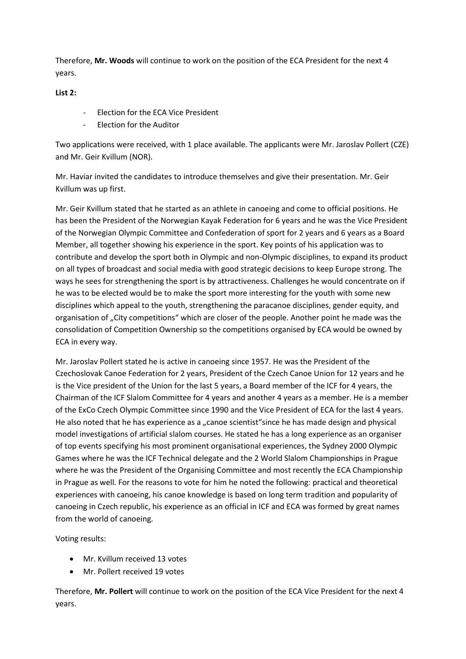Therefore, Mr. Woods will continue to work on the position of the ECA President for the next 4 years.

List 2:

- Election for the ECA Vice President
- Election for the Auditor

Two applications were received, with 1 place available. The applicants were Mr. Jaroslav Pollert (CZE) and Mr. Geir Kvillum (NOR).

Mr. Haviar invited the candidates to introduce themselves and give their presentation. Mr. Geir Kvillum was up first.

Mr. Geir Kvillum stated that he started as an athlete in canoeing and come to official positions. He has been the President of the Norwegian Kayak Federation for 6 years and he was the Vice President of the Norwegian Olympic Committee and Confederation of sport for 2 years and 6 years as a Board Member, all together showing his experience in the sport. Key points of his application was to contribute and develop the sport both in Olympic and non-Olympic disciplines, to expand its product on all types of broadcast and social media with good strategic decisions to keep Europe strong. The ways he sees for strengthening the sport is by attractiveness. Challenges he would concentrate on if he was to be elected would be to make the sport more interesting for the youth with some new disciplines which appeal to the youth, strengthening the paracanoe disciplines, gender equity, and organisation of "City competitions" which are closer of the people. Another point he made was the consolidation of Competition Ownership so the competitions organised by ECA would be owned by ECA in every way.

Mr. Jaroslav Pollert stated he is active in canoeing since 1957. He was the President of the Czechoslovak Canoe Federation for 2 years, President of the Czech Canoe Union for 12 years and he is the Vice president of the Union for the last 5 years, a Board member of the ICF for 4 years, the Chairman of the ICF Slalom Committee for 4 years and another 4 years as a member. He is a member of the ExCo Czech Olympic Committee since 1990 and the Vice President of ECA for the last 4 years. He also noted that he has experience as a "canoe scientist"since he has made design and physical model investigations of artificial slalom courses. He stated he has a long experience as an organiser of top events specifying his most prominent organisational experiences, the Sydney 2000 Olympic Games where he was the ICF Technical delegate and the 2 World Slalom Championships in Prague where he was the President of the Organising Committee and most recently the ECA Championship in Prague as well. For the reasons to vote for him he noted the following: practical and theoretical experiences with canoeing, his canoe knowledge is based on long term tradition and popularity of canoeing in Czech republic, his experience as an official in ICF and ECA was formed by great names from the world of canoeing.

Voting results:

- Mr. Kvillum received 13 votes
- Mr. Pollert received 19 votes

Therefore, Mr. Pollert will continue to work on the position of the ECA Vice President for the next 4 years.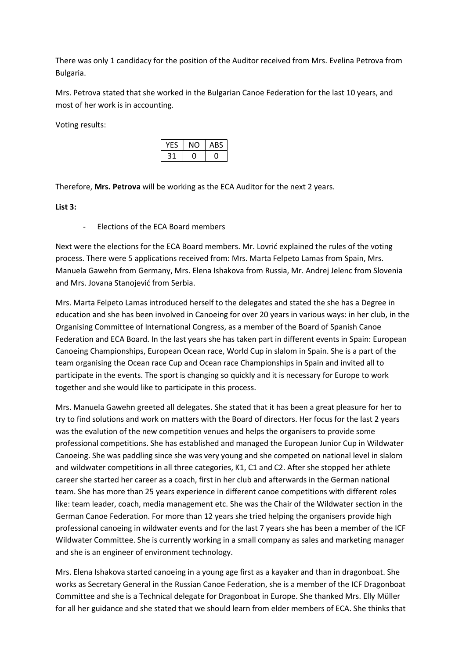There was only 1 candidacy for the position of the Auditor received from Mrs. Evelina Petrova from Bulgaria.

Mrs. Petrova stated that she worked in the Bulgarian Canoe Federation for the last 10 years, and most of her work is in accounting.

Voting results:

|  | ۰<br>ABS. |
|--|-----------|
|  |           |

Therefore, Mrs. Petrova will be working as the ECA Auditor for the next 2 years.

## List 3:

- Elections of the ECA Board members

Next were the elections for the ECA Board members. Mr. Lovrić explained the rules of the voting process. There were 5 applications received from: Mrs. Marta Felpeto Lamas from Spain, Mrs. Manuela Gawehn from Germany, Mrs. Elena Ishakova from Russia, Mr. Andrej Jelenc from Slovenia and Mrs. Jovana Stanojević from Serbia.

Mrs. Marta Felpeto Lamas introduced herself to the delegates and stated the she has a Degree in education and she has been involved in Canoeing for over 20 years in various ways: in her club, in the Organising Committee of International Congress, as a member of the Board of Spanish Canoe Federation and ECA Board. In the last years she has taken part in different events in Spain: European Canoeing Championships, European Ocean race, World Cup in slalom in Spain. She is a part of the team organising the Ocean race Cup and Ocean race Championships in Spain and invited all to participate in the events. The sport is changing so quickly and it is necessary for Europe to work together and she would like to participate in this process.

Mrs. Manuela Gawehn greeted all delegates. She stated that it has been a great pleasure for her to try to find solutions and work on matters with the Board of directors. Her focus for the last 2 years was the evalution of the new competition venues and helps the organisers to provide some professional competitions. She has established and managed the European Junior Cup in Wildwater Canoeing. She was paddling since she was very young and she competed on national level in slalom and wildwater competitions in all three categories, K1, C1 and C2. After she stopped her athlete career she started her career as a coach, first in her club and afterwards in the German national team. She has more than 25 years experience in different canoe competitions with different roles like: team leader, coach, media management etc. She was the Chair of the Wildwater section in the German Canoe Federation. For more than 12 years she tried helping the organisers provide high professional canoeing in wildwater events and for the last 7 years she has been a member of the ICF Wildwater Committee. She is currently working in a small company as sales and marketing manager and she is an engineer of environment technology.

Mrs. Elena Ishakova started canoeing in a young age first as a kayaker and than in dragonboat. She works as Secretary General in the Russian Canoe Federation, she is a member of the ICF Dragonboat Committee and she is a Technical delegate for Dragonboat in Europe. She thanked Mrs. Elly Müller for all her guidance and she stated that we should learn from elder members of ECA. She thinks that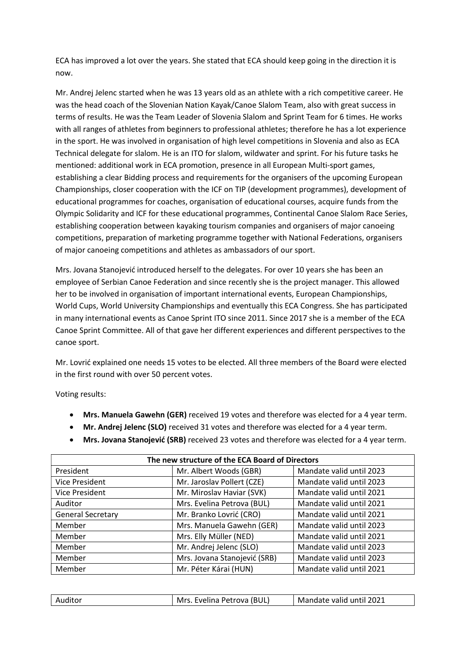ECA has improved a lot over the years. She stated that ECA should keep going in the direction it is now.

Mr. Andrej Jelenc started when he was 13 years old as an athlete with a rich competitive career. He was the head coach of the Slovenian Nation Kayak/Canoe Slalom Team, also with great success in terms of results. He was the Team Leader of Slovenia Slalom and Sprint Team for 6 times. He works with all ranges of athletes from beginners to professional athletes; therefore he has a lot experience in the sport. He was involved in organisation of high level competitions in Slovenia and also as ECA Technical delegate for slalom. He is an ITO for slalom, wildwater and sprint. For his future tasks he mentioned: additional work in ECA promotion, presence in all European Multi-sport games, establishing a clear Bidding process and requirements for the organisers of the upcoming European Championships, closer cooperation with the ICF on TIP (development programmes), development of educational programmes for coaches, organisation of educational courses, acquire funds from the Olympic Solidarity and ICF for these educational programmes, Continental Canoe Slalom Race Series, establishing cooperation between kayaking tourism companies and organisers of major canoeing competitions, preparation of marketing programme together with National Federations, organisers of major canoeing competitions and athletes as ambassadors of our sport.

Mrs. Jovana Stanojević introduced herself to the delegates. For over 10 years she has been an employee of Serbian Canoe Federation and since recently she is the project manager. This allowed her to be involved in organisation of important international events, European Championships, World Cups, World University Championships and eventually this ECA Congress. She has participated in many international events as Canoe Sprint ITO since 2011. Since 2017 she is a member of the ECA Canoe Sprint Committee. All of that gave her different experiences and different perspectives to the canoe sport.

Mr. Lovrić explained one needs 15 votes to be elected. All three members of the Board were elected in the first round with over 50 percent votes.

Voting results:

- Mrs. Manuela Gawehn (GER) received 19 votes and therefore was elected for a 4 year term.
- Mr. Andrej Jelenc (SLO) received 31 votes and therefore was elected for a 4 year term.
- Mrs. Jovana Stanojević (SRB) received 23 votes and therefore was elected for a 4 year term.

| The new structure of the ECA Board of Directors |                              |                          |  |
|-------------------------------------------------|------------------------------|--------------------------|--|
| President                                       | Mr. Albert Woods (GBR)       | Mandate valid until 2023 |  |
| <b>Vice President</b>                           | Mr. Jaroslav Pollert (CZE)   | Mandate valid until 2023 |  |
| <b>Vice President</b>                           | Mr. Miroslav Haviar (SVK)    | Mandate valid until 2021 |  |
| Auditor                                         | Mrs. Evelina Petrova (BUL)   | Mandate valid until 2021 |  |
| <b>General Secretary</b>                        | Mr. Branko Lovrić (CRO)      | Mandate valid until 2021 |  |
| Member                                          | Mrs. Manuela Gawehn (GER)    | Mandate valid until 2023 |  |
| Member                                          | Mrs. Elly Müller (NED)       | Mandate valid until 2021 |  |
| Member                                          | Mr. Andrej Jelenc (SLO)      | Mandate valid until 2023 |  |
| Member                                          | Mrs. Jovana Stanojević (SRB) | Mandate valid until 2023 |  |
| Member                                          | Mr. Péter Kárai (HUN)        | Mandate valid until 2021 |  |

| Auditor | Mrs. Evelina Petrova (BUL) | Mandate valid until 2021 |
|---------|----------------------------|--------------------------|
|         |                            |                          |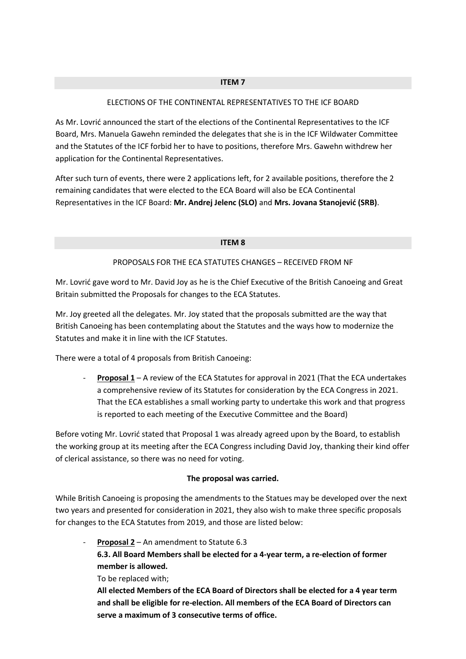## ITEM 7

## ELECTIONS OF THE CONTINENTAL REPRESENTATIVES TO THE ICF BOARD

As Mr. Lovrić announced the start of the elections of the Continental Representatives to the ICF Board, Mrs. Manuela Gawehn reminded the delegates that she is in the ICF Wildwater Committee and the Statutes of the ICF forbid her to have to positions, therefore Mrs. Gawehn withdrew her application for the Continental Representatives.

After such turn of events, there were 2 applications left, for 2 available positions, therefore the 2 remaining candidates that were elected to the ECA Board will also be ECA Continental Representatives in the ICF Board: Mr. Andrej Jelenc (SLO) and Mrs. Jovana Stanojević (SRB).

### ITEM 8

## PROPOSALS FOR THE ECA STATUTES CHANGES – RECEIVED FROM NF

Mr. Lovrić gave word to Mr. David Joy as he is the Chief Executive of the British Canoeing and Great Britain submitted the Proposals for changes to the ECA Statutes.

Mr. Joy greeted all the delegates. Mr. Joy stated that the proposals submitted are the way that British Canoeing has been contemplating about the Statutes and the ways how to modernize the Statutes and make it in line with the ICF Statutes.

There were a total of 4 proposals from British Canoeing:

**Proposal 1** – A review of the ECA Statutes for approval in 2021 (That the ECA undertakes a comprehensive review of its Statutes for consideration by the ECA Congress in 2021. That the ECA establishes a small working party to undertake this work and that progress is reported to each meeting of the Executive Committee and the Board)

Before voting Mr. Lovrić stated that Proposal 1 was already agreed upon by the Board, to establish the working group at its meeting after the ECA Congress including David Joy, thanking their kind offer of clerical assistance, so there was no need for voting.

## The proposal was carried.

While British Canoeing is proposing the amendments to the Statues may be developed over the next two years and presented for consideration in 2021, they also wish to make three specific proposals for changes to the ECA Statutes from 2019, and those are listed below:

**Proposal 2** – An amendment to Statute  $6.3$ 

6.3. All Board Members shall be elected for a 4-year term, a re-election of former member is allowed.

To be replaced with;

All elected Members of the ECA Board of Directors shall be elected for a 4 year term and shall be eligible for re-election. All members of the ECA Board of Directors can serve a maximum of 3 consecutive terms of office.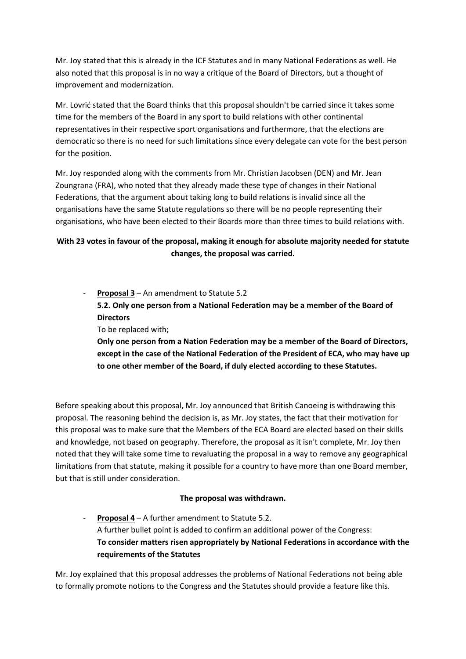Mr. Joy stated that this is already in the ICF Statutes and in many National Federations as well. He also noted that this proposal is in no way a critique of the Board of Directors, but a thought of improvement and modernization.

Mr. Lovrić stated that the Board thinks that this proposal shouldn't be carried since it takes some time for the members of the Board in any sport to build relations with other continental representatives in their respective sport organisations and furthermore, that the elections are democratic so there is no need for such limitations since every delegate can vote for the best person for the position.

Mr. Joy responded along with the comments from Mr. Christian Jacobsen (DEN) and Mr. Jean Zoungrana (FRA), who noted that they already made these type of changes in their National Federations, that the argument about taking long to build relations is invalid since all the organisations have the same Statute regulations so there will be no people representing their organisations, who have been elected to their Boards more than three times to build relations with.

## With 23 votes in favour of the proposal, making it enough for absolute majority needed for statute changes, the proposal was carried.

**Proposal 3** – An amendment to Statute 5.2 5.2. Only one person from a National Federation may be a member of the Board of **Directors** 

To be replaced with;

Only one person from a Nation Federation may be a member of the Board of Directors, except in the case of the National Federation of the President of ECA, who may have up to one other member of the Board, if duly elected according to these Statutes.

Before speaking about this proposal, Mr. Joy announced that British Canoeing is withdrawing this proposal. The reasoning behind the decision is, as Mr. Joy states, the fact that their motivation for this proposal was to make sure that the Members of the ECA Board are elected based on their skills and knowledge, not based on geography. Therefore, the proposal as it isn't complete, Mr. Joy then noted that they will take some time to revaluating the proposal in a way to remove any geographical limitations from that statute, making it possible for a country to have more than one Board member, but that is still under consideration.

## The proposal was withdrawn.

**Proposal 4** – A further amendment to Statute 5.2. A further bullet point is added to confirm an additional power of the Congress: To consider matters risen appropriately by National Federations in accordance with the requirements of the Statutes

Mr. Joy explained that this proposal addresses the problems of National Federations not being able to formally promote notions to the Congress and the Statutes should provide a feature like this.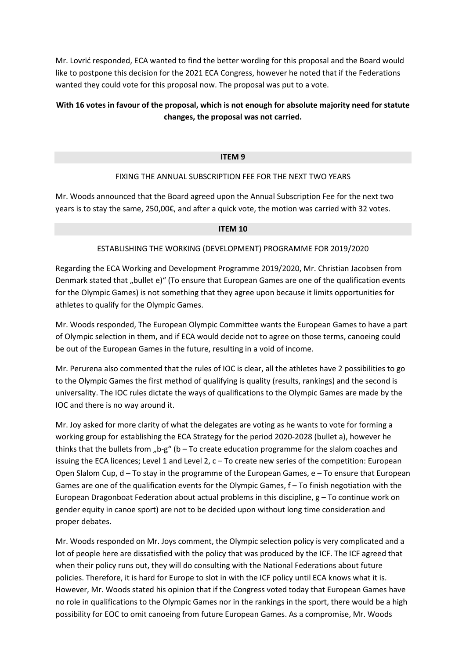Mr. Lovrić responded, ECA wanted to find the better wording for this proposal and the Board would like to postpone this decision for the 2021 ECA Congress, however he noted that if the Federations wanted they could vote for this proposal now. The proposal was put to a vote.

## With 16 votes in favour of the proposal, which is not enough for absolute majority need for statute changes, the proposal was not carried.

## ITEM 9

## FIXING THE ANNUAL SUBSCRIPTION FEE FOR THE NEXT TWO YEARS

Mr. Woods announced that the Board agreed upon the Annual Subscription Fee for the next two years is to stay the same, 250,00€, and after a quick vote, the motion was carried with 32 votes.

### ITEM 10

## ESTABLISHING THE WORKING (DEVELOPMENT) PROGRAMME FOR 2019/2020

Regarding the ECA Working and Development Programme 2019/2020, Mr. Christian Jacobsen from Denmark stated that "bullet e)" (To ensure that European Games are one of the qualification events for the Olympic Games) is not something that they agree upon because it limits opportunities for athletes to qualify for the Olympic Games.

Mr. Woods responded, The European Olympic Committee wants the European Games to have a part of Olympic selection in them, and if ECA would decide not to agree on those terms, canoeing could be out of the European Games in the future, resulting in a void of income.

Mr. Perurena also commented that the rules of IOC is clear, all the athletes have 2 possibilities to go to the Olympic Games the first method of qualifying is quality (results, rankings) and the second is universality. The IOC rules dictate the ways of qualifications to the Olympic Games are made by the IOC and there is no way around it.

Mr. Joy asked for more clarity of what the delegates are voting as he wants to vote for forming a working group for establishing the ECA Strategy for the period 2020-2028 (bullet a), however he thinks that the bullets from "b-g" (b – To create education programme for the slalom coaches and issuing the ECA licences; Level 1 and Level 2, c – To create new series of the competition: European Open Slalom Cup,  $d - To$  stay in the programme of the European Games,  $e - To$  ensure that European Games are one of the qualification events for the Olympic Games, f – To finish negotiation with the European Dragonboat Federation about actual problems in this discipline,  $g - To$  continue work on gender equity in canoe sport) are not to be decided upon without long time consideration and proper debates.

Mr. Woods responded on Mr. Joys comment, the Olympic selection policy is very complicated and a lot of people here are dissatisfied with the policy that was produced by the ICF. The ICF agreed that when their policy runs out, they will do consulting with the National Federations about future policies. Therefore, it is hard for Europe to slot in with the ICF policy until ECA knows what it is. However, Mr. Woods stated his opinion that if the Congress voted today that European Games have no role in qualifications to the Olympic Games nor in the rankings in the sport, there would be a high possibility for EOC to omit canoeing from future European Games. As a compromise, Mr. Woods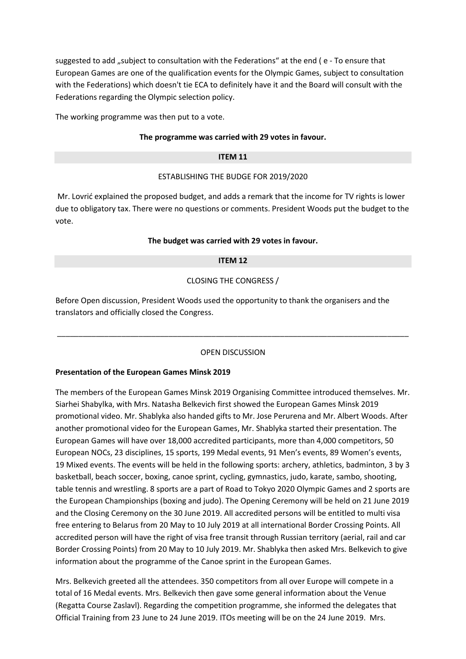suggested to add "subject to consultation with the Federations" at the end (e - To ensure that European Games are one of the qualification events for the Olympic Games, subject to consultation with the Federations) which doesn't tie ECA to definitely have it and the Board will consult with the Federations regarding the Olympic selection policy.

The working programme was then put to a vote.

## The programme was carried with 29 votes in favour.

## ITEM 11

## ESTABLISHING THE BUDGE FOR 2019/2020

 Mr. Lovrić explained the proposed budget, and adds a remark that the income for TV rights is lower due to obligatory tax. There were no questions or comments. President Woods put the budget to the vote.

## The budget was carried with 29 votes in favour.

## ITEM 12

## CLOSING THE CONGRESS /

Before Open discussion, President Woods used the opportunity to thank the organisers and the translators and officially closed the Congress.

## OPEN DISCUSSION

\_\_\_\_\_\_\_\_\_\_\_\_\_\_\_\_\_\_\_\_\_\_\_\_\_\_\_\_\_\_\_\_\_\_\_\_\_\_\_\_\_\_\_\_\_\_\_\_\_\_\_\_\_\_\_\_\_\_\_\_\_\_\_\_\_\_\_\_\_\_\_\_\_\_\_\_\_\_\_\_\_\_

## Presentation of the European Games Minsk 2019

The members of the European Games Minsk 2019 Organising Committee introduced themselves. Mr. Siarhei Shabylka, with Mrs. Natasha Belkevich first showed the European Games Minsk 2019 promotional video. Mr. Shablyka also handed gifts to Mr. Jose Perurena and Mr. Albert Woods. After another promotional video for the European Games, Mr. Shablyka started their presentation. The European Games will have over 18,000 accredited participants, more than 4,000 competitors, 50 European NOCs, 23 disciplines, 15 sports, 199 Medal events, 91 Men's events, 89 Women's events, 19 Mixed events. The events will be held in the following sports: archery, athletics, badminton, 3 by 3 basketball, beach soccer, boxing, canoe sprint, cycling, gymnastics, judo, karate, sambo, shooting, table tennis and wrestling. 8 sports are a part of Road to Tokyo 2020 Olympic Games and 2 sports are the European Championships (boxing and judo). The Opening Ceremony will be held on 21 June 2019 and the Closing Ceremony on the 30 June 2019. All accredited persons will be entitled to multi visa free entering to Belarus from 20 May to 10 July 2019 at all international Border Crossing Points. All accredited person will have the right of visa free transit through Russian territory (aerial, rail and car Border Crossing Points) from 20 May to 10 July 2019. Mr. Shablyka then asked Mrs. Belkevich to give information about the programme of the Canoe sprint in the European Games.

Mrs. Belkevich greeted all the attendees. 350 competitors from all over Europe will compete in a total of 16 Medal events. Mrs. Belkevich then gave some general information about the Venue (Regatta Course Zaslavl). Regarding the competition programme, she informed the delegates that Official Training from 23 June to 24 June 2019. ITOs meeting will be on the 24 June 2019. Mrs.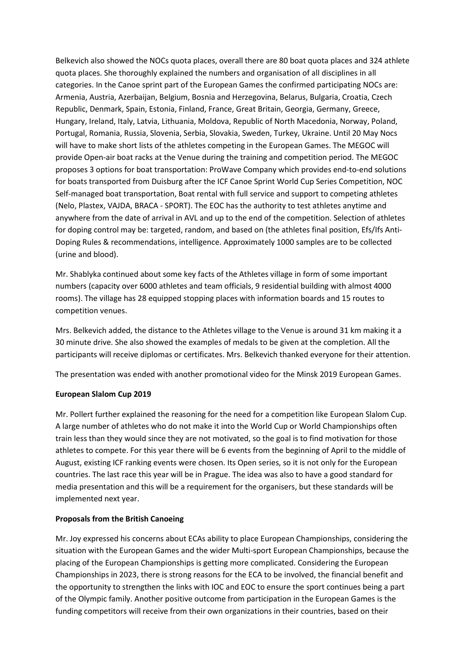Belkevich also showed the NOCs quota places, overall there are 80 boat quota places and 324 athlete quota places. She thoroughly explained the numbers and organisation of all disciplines in all categories. In the Canoe sprint part of the European Games the confirmed participating NOCs are: Armenia, Austria, Azerbaijan, Belgium, Bosnia and Herzegovina, Belarus, Bulgaria, Croatia, Czech Republic, Denmark, Spain, Estonia, Finland, France, Great Britain, Georgia, Germany, Greece, Hungary, Ireland, Italy, Latvia, Lithuania, Moldova, Republic of North Macedonia, Norway, Poland, Portugal, Romania, Russia, Slovenia, Serbia, Slovakia, Sweden, Turkey, Ukraine. Until 20 May Nocs will have to make short lists of the athletes competing in the European Games. The MEGOC will provide Open-air boat racks at the Venue during the training and competition period. The MEGOC proposes 3 options for boat transportation: ProWave Company which provides end-to-end solutions for boats transported from Duisburg after the ICF Canoe Sprint World Cup Series Competition, NOC Self-managed boat transportation, Boat rental with full service and support to competing athletes (Nelo, Plastex, VAJDA, BRACA - SPORT). The EOC has the authority to test athletes anytime and anywhere from the date of arrival in AVL and up to the end of the competition. Selection of athletes for doping control may be: targeted, random, and based on (the athletes final position, Efs/Ifs Anti-Doping Rules & recommendations, intelligence. Approximately 1000 samples are to be collected (urine and blood).

Mr. Shablyka continued about some key facts of the Athletes village in form of some important numbers (capacity over 6000 athletes and team officials, 9 residential building with almost 4000 rooms). The village has 28 equipped stopping places with information boards and 15 routes to competition venues.

Mrs. Belkevich added, the distance to the Athletes village to the Venue is around 31 km making it a 30 minute drive. She also showed the examples of medals to be given at the completion. All the participants will receive diplomas or certificates. Mrs. Belkevich thanked everyone for their attention.

The presentation was ended with another promotional video for the Minsk 2019 European Games.

## European Slalom Cup 2019

Mr. Pollert further explained the reasoning for the need for a competition like European Slalom Cup. A large number of athletes who do not make it into the World Cup or World Championships often train less than they would since they are not motivated, so the goal is to find motivation for those athletes to compete. For this year there will be 6 events from the beginning of April to the middle of August, existing ICF ranking events were chosen. Its Open series, so it is not only for the European countries. The last race this year will be in Prague. The idea was also to have a good standard for media presentation and this will be a requirement for the organisers, but these standards will be implemented next year.

## Proposals from the British Canoeing

Mr. Joy expressed his concerns about ECAs ability to place European Championships, considering the situation with the European Games and the wider Multi-sport European Championships, because the placing of the European Championships is getting more complicated. Considering the European Championships in 2023, there is strong reasons for the ECA to be involved, the financial benefit and the opportunity to strengthen the links with IOC and EOC to ensure the sport continues being a part of the Olympic family. Another positive outcome from participation in the European Games is the funding competitors will receive from their own organizations in their countries, based on their